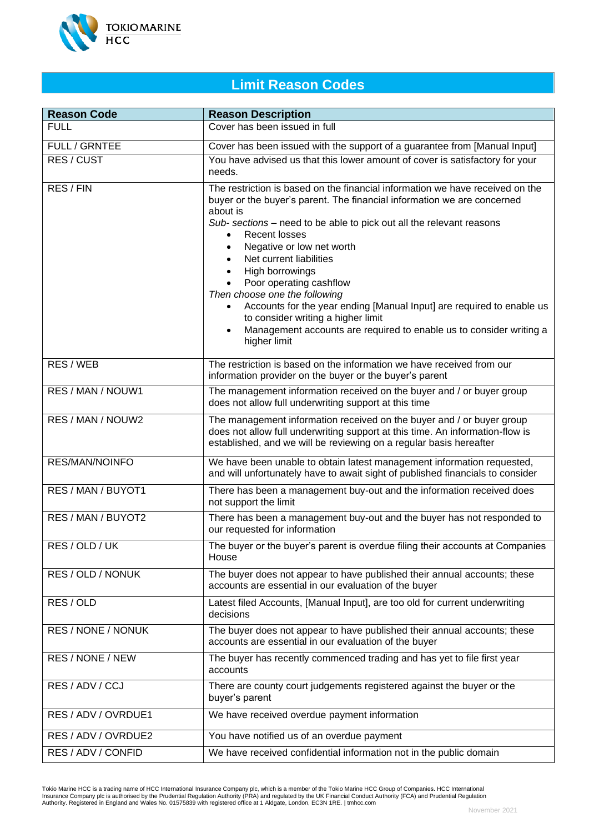

## **Limit Reason Codes**

| <b>Reason Code</b>  | <b>Reason Description</b>                                                                                                                                                                                                                                                                                                                                                                                                                                                                                                                                                                                                                                             |
|---------------------|-----------------------------------------------------------------------------------------------------------------------------------------------------------------------------------------------------------------------------------------------------------------------------------------------------------------------------------------------------------------------------------------------------------------------------------------------------------------------------------------------------------------------------------------------------------------------------------------------------------------------------------------------------------------------|
| <b>FULL</b>         | Cover has been issued in full                                                                                                                                                                                                                                                                                                                                                                                                                                                                                                                                                                                                                                         |
| FULL / GRNTEE       | Cover has been issued with the support of a guarantee from [Manual Input]                                                                                                                                                                                                                                                                                                                                                                                                                                                                                                                                                                                             |
| RES / CUST          | You have advised us that this lower amount of cover is satisfactory for your<br>needs.                                                                                                                                                                                                                                                                                                                                                                                                                                                                                                                                                                                |
| RES / FIN           | The restriction is based on the financial information we have received on the<br>buyer or the buyer's parent. The financial information we are concerned<br>about is<br>Sub- sections – need to be able to pick out all the relevant reasons<br><b>Recent losses</b><br>Negative or low net worth<br>$\bullet$<br>Net current liabilities<br>High borrowings<br>$\bullet$<br>Poor operating cashflow<br>Then choose one the following<br>Accounts for the year ending [Manual Input] are required to enable us<br>$\bullet$<br>to consider writing a higher limit<br>Management accounts are required to enable us to consider writing a<br>$\bullet$<br>higher limit |
| RES / WEB           | The restriction is based on the information we have received from our<br>information provider on the buyer or the buyer's parent                                                                                                                                                                                                                                                                                                                                                                                                                                                                                                                                      |
| RES / MAN / NOUW1   | The management information received on the buyer and / or buyer group<br>does not allow full underwriting support at this time                                                                                                                                                                                                                                                                                                                                                                                                                                                                                                                                        |
| RES / MAN / NOUW2   | The management information received on the buyer and / or buyer group<br>does not allow full underwriting support at this time. An information-flow is<br>established, and we will be reviewing on a regular basis hereafter                                                                                                                                                                                                                                                                                                                                                                                                                                          |
| RES/MAN/NOINFO      | We have been unable to obtain latest management information requested,<br>and will unfortunately have to await sight of published financials to consider                                                                                                                                                                                                                                                                                                                                                                                                                                                                                                              |
| RES / MAN / BUYOT1  | There has been a management buy-out and the information received does<br>not support the limit                                                                                                                                                                                                                                                                                                                                                                                                                                                                                                                                                                        |
| RES / MAN / BUYOT2  | There has been a management buy-out and the buyer has not responded to<br>our requested for information                                                                                                                                                                                                                                                                                                                                                                                                                                                                                                                                                               |
| RES / OLD / UK      | The buyer or the buyer's parent is overdue filing their accounts at Companies<br>House                                                                                                                                                                                                                                                                                                                                                                                                                                                                                                                                                                                |
| RES / OLD / NONUK   | The buyer does not appear to have published their annual accounts; these<br>accounts are essential in our evaluation of the buyer                                                                                                                                                                                                                                                                                                                                                                                                                                                                                                                                     |
| RES / OLD           | Latest filed Accounts, [Manual Input], are too old for current underwriting<br>decisions                                                                                                                                                                                                                                                                                                                                                                                                                                                                                                                                                                              |
| RES / NONE / NONUK  | The buyer does not appear to have published their annual accounts; these<br>accounts are essential in our evaluation of the buyer                                                                                                                                                                                                                                                                                                                                                                                                                                                                                                                                     |
| RES / NONE / NEW    | The buyer has recently commenced trading and has yet to file first year<br>accounts                                                                                                                                                                                                                                                                                                                                                                                                                                                                                                                                                                                   |
| RES / ADV / CCJ     | There are county court judgements registered against the buyer or the<br>buyer's parent                                                                                                                                                                                                                                                                                                                                                                                                                                                                                                                                                                               |
| RES / ADV / OVRDUE1 | We have received overdue payment information                                                                                                                                                                                                                                                                                                                                                                                                                                                                                                                                                                                                                          |
| RES / ADV / OVRDUE2 | You have notified us of an overdue payment                                                                                                                                                                                                                                                                                                                                                                                                                                                                                                                                                                                                                            |
| RES / ADV / CONFID  | We have received confidential information not in the public domain                                                                                                                                                                                                                                                                                                                                                                                                                                                                                                                                                                                                    |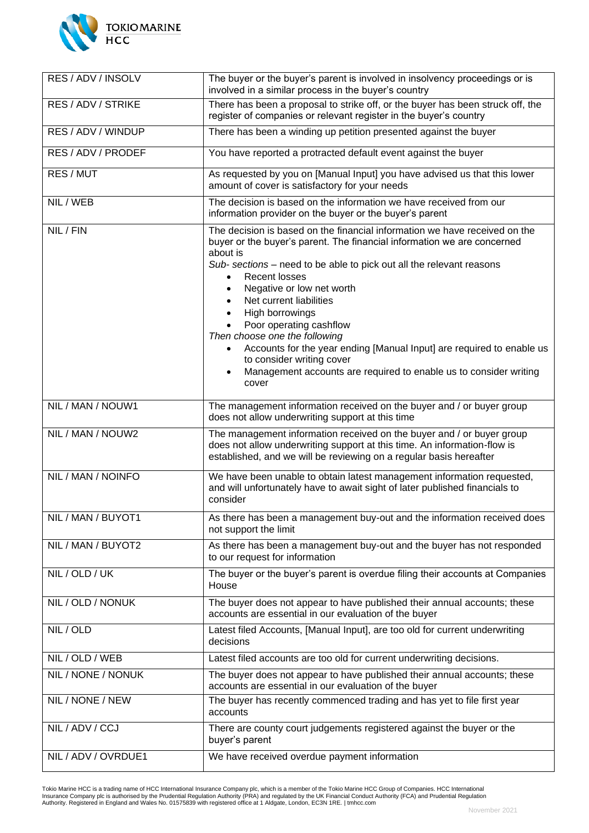

| RES / ADV / INSOLV  | The buyer or the buyer's parent is involved in insolvency proceedings or is<br>involved in a similar process in the buyer's country                                                                                                                                                                                                                                                                                                                                                                                                                                                                                                              |
|---------------------|--------------------------------------------------------------------------------------------------------------------------------------------------------------------------------------------------------------------------------------------------------------------------------------------------------------------------------------------------------------------------------------------------------------------------------------------------------------------------------------------------------------------------------------------------------------------------------------------------------------------------------------------------|
| RES / ADV / STRIKE  | There has been a proposal to strike off, or the buyer has been struck off, the<br>register of companies or relevant register in the buyer's country                                                                                                                                                                                                                                                                                                                                                                                                                                                                                              |
| RES / ADV / WINDUP  | There has been a winding up petition presented against the buyer                                                                                                                                                                                                                                                                                                                                                                                                                                                                                                                                                                                 |
| RES / ADV / PRODEF  | You have reported a protracted default event against the buyer                                                                                                                                                                                                                                                                                                                                                                                                                                                                                                                                                                                   |
| RES / MUT           | As requested by you on [Manual Input] you have advised us that this lower<br>amount of cover is satisfactory for your needs                                                                                                                                                                                                                                                                                                                                                                                                                                                                                                                      |
| NIL / WEB           | The decision is based on the information we have received from our<br>information provider on the buyer or the buyer's parent                                                                                                                                                                                                                                                                                                                                                                                                                                                                                                                    |
| NIL / FIN           | The decision is based on the financial information we have received on the<br>buyer or the buyer's parent. The financial information we are concerned<br>about is<br>Sub- sections – need to be able to pick out all the relevant reasons<br><b>Recent losses</b><br>$\bullet$<br>Negative or low net worth<br>$\bullet$<br>Net current liabilities<br>$\bullet$<br>High borrowings<br>$\bullet$<br>Poor operating cashflow<br>Then choose one the following<br>Accounts for the year ending [Manual Input] are required to enable us<br>to consider writing cover<br>Management accounts are required to enable us to consider writing<br>cover |
| NIL / MAN / NOUW1   | The management information received on the buyer and / or buyer group<br>does not allow underwriting support at this time                                                                                                                                                                                                                                                                                                                                                                                                                                                                                                                        |
| NIL / MAN / NOUW2   | The management information received on the buyer and / or buyer group<br>does not allow underwriting support at this time. An information-flow is<br>established, and we will be reviewing on a regular basis hereafter                                                                                                                                                                                                                                                                                                                                                                                                                          |
| NIL / MAN / NOINFO  | We have been unable to obtain latest management information requested,<br>and will unfortunately have to await sight of later published financials to<br>consider                                                                                                                                                                                                                                                                                                                                                                                                                                                                                |
| NIL / MAN / BUYOT1  | As there has been a management buy-out and the information received does<br>not support the limit                                                                                                                                                                                                                                                                                                                                                                                                                                                                                                                                                |
| NIL / MAN / BUYOT2  | As there has been a management buy-out and the buyer has not responded<br>to our request for information                                                                                                                                                                                                                                                                                                                                                                                                                                                                                                                                         |
| NIL / OLD / UK      | The buyer or the buyer's parent is overdue filing their accounts at Companies<br>House                                                                                                                                                                                                                                                                                                                                                                                                                                                                                                                                                           |
| NIL / OLD / NONUK   | The buyer does not appear to have published their annual accounts; these<br>accounts are essential in our evaluation of the buyer                                                                                                                                                                                                                                                                                                                                                                                                                                                                                                                |
| NIL / OLD           | Latest filed Accounts, [Manual Input], are too old for current underwriting<br>decisions                                                                                                                                                                                                                                                                                                                                                                                                                                                                                                                                                         |
| NIL / OLD / WEB     | Latest filed accounts are too old for current underwriting decisions.                                                                                                                                                                                                                                                                                                                                                                                                                                                                                                                                                                            |
| NIL / NONE / NONUK  | The buyer does not appear to have published their annual accounts; these<br>accounts are essential in our evaluation of the buyer                                                                                                                                                                                                                                                                                                                                                                                                                                                                                                                |
| NIL / NONE / NEW    | The buyer has recently commenced trading and has yet to file first year<br>accounts                                                                                                                                                                                                                                                                                                                                                                                                                                                                                                                                                              |
| NIL / ADV / CCJ     | There are county court judgements registered against the buyer or the<br>buyer's parent                                                                                                                                                                                                                                                                                                                                                                                                                                                                                                                                                          |
| NIL / ADV / OVRDUE1 | We have received overdue payment information                                                                                                                                                                                                                                                                                                                                                                                                                                                                                                                                                                                                     |

Tokio Marine HCC is a trading name of HCC International Insurance Company plc, which is a member of the Tokio Marine HCC Group of Companies. HCC International<br>Insurance Company plc is authorised by the Prudential Regulatio